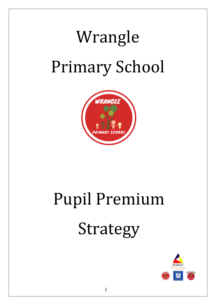# Wrangle Primary School



# Pupil Premium Strategy

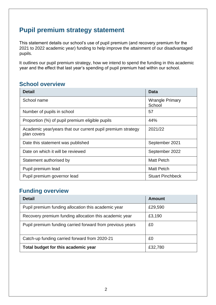## **Pupil premium strategy statement**

This statement details our school's use of pupil premium (and recovery premium for the 2021 to 2022 academic year) funding to help improve the attainment of our disadvantaged pupils.

It outlines our pupil premium strategy, how we intend to spend the funding in this academic year and the effect that last year's spending of pupil premium had within our school.

### **School overview**

| <b>Detail</b>                                                              | <b>Data</b>                      |
|----------------------------------------------------------------------------|----------------------------------|
| School name                                                                | <b>Wrangle Primary</b><br>School |
| Number of pupils in school                                                 | 57                               |
| Proportion (%) of pupil premium eligible pupils                            | 44%                              |
| Academic year/years that our current pupil premium strategy<br>plan covers | 2021/22                          |
| Date this statement was published                                          | September 2021                   |
| Date on which it will be reviewed                                          | September 2022                   |
| Statement authorised by                                                    | <b>Matt Petch</b>                |
| Pupil premium lead                                                         | <b>Matt Petch</b>                |
| Pupil premium governor lead                                                | <b>Stuart Pinchbeck</b>          |

#### **Funding overview**

| <b>Detail</b>                                             | Amount  |
|-----------------------------------------------------------|---------|
| Pupil premium funding allocation this academic year       | £29,590 |
| Recovery premium funding allocation this academic year    | £3,190  |
| Pupil premium funding carried forward from previous years | £0      |
| Catch-up funding carried forward from 2020-21             | £0      |
| Total budget for this academic year                       | £32,780 |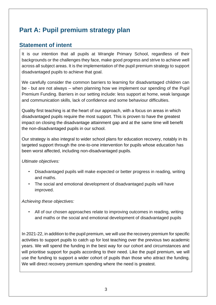# **Part A: Pupil premium strategy plan**

#### **Statement of intent**

It is our intention that all pupils at Wrangle Primary School, regardless of their backgrounds or the challenges they face, make good progress and strive to achieve well across all subject areas. It is the implementation of the pupil premium strategy to support disadvantaged pupils to achieve that goal.

We carefully consider the common barriers to learning for disadvantaged children can be - but are not always – when planning how we implement our spending of the Pupil Premium Funding. Barriers in our setting include: less support at home, weak language and communication skills, lack of confidence and some behaviour difficulties.

Quality first teaching is at the heart of our approach, with a focus on areas in which disadvantaged pupils require the most support. This is proven to have the greatest impact on closing the disadvantage attainment gap and at the same time will benefit the non-disadvantaged pupils in our school.

Our strategy is also integral to wider school plans for education recovery, notably in its targeted support through the one-to-one intervention for pupils whose education has been worst affected, including non-disadvantaged pupils.

*Ultimate objectives:*

- Disadvantaged pupils will make expected or better progress in reading, writing and maths.
- The social and emotional development of disadvantaged pupils will have improved.

#### *Achieving these objectives:*

• All of our chosen approaches relate to improving outcomes in reading, writing and maths or the social and emotional development of disadvantaged pupils

In 2021-22, in addition to the pupil premium, we will use the recovery premium for specific activities to support pupils to catch up for lost teaching over the previous two academic years. We will spend the funding in the best way for our cohort and circumstances and will prioritise support for pupils according to their need. Like the pupil premium, we will use the funding to support a wider cohort of pupils than those who attract the funding. We will direct recovery premium spending where the need is greatest.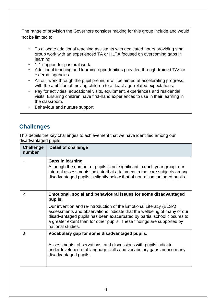The range of provision the Governors consider making for this group include and would not be limited to:

- To allocate additional teaching assistants with dedicated hours providing small group work with an experienced TA or HLTA focused on overcoming gaps in learning
- 1-1 support for pastoral work
- Additional teaching and learning opportunities provided through trained TAs or external agencies
- All our work through the pupil premium will be aimed at accelerating progress, with the ambition of moving children to at least age-related expectations.
- Pay for activities, educational visits, equipment, experiences and residential visits. Ensuring children have first-hand experiences to use in their learning in the classroom.
- Behaviour and nurture support.

#### **Challenges**

This details the key challenges to achievement that we have identified among our disadvantaged pupils.

| <b>Challenge</b><br>number | <b>Detail of challenge</b>                                                                                                                                                                                                                                                                                                                                                                             |
|----------------------------|--------------------------------------------------------------------------------------------------------------------------------------------------------------------------------------------------------------------------------------------------------------------------------------------------------------------------------------------------------------------------------------------------------|
| 1                          | <b>Gaps in learning</b><br>Although the number of pupils is not significant in each year group, our<br>internal assessments indicate that attainment in the core subjects among<br>disadvantaged pupils is slightly below that of non-disadvantaged pupils.                                                                                                                                            |
| $\overline{2}$             | Emotional, social and behavioural issues for some disadvantaged<br>pupils.<br>Our invention and re-introduction of the Emotional Literacy (ELSA)<br>assessments and observations indicate that the wellbeing of many of our<br>disadvantaged pupils has been exacerbated by partial school closures to<br>a greater extent than for other pupils. These findings are supported by<br>national studies. |
| 3                          | Vocabulary gap for some disadvantaged pupils.<br>Assessments, observations, and discussions with pupils indicate<br>underdeveloped oral language skills and vocabulary gaps among many<br>disadvantaged pupils.                                                                                                                                                                                        |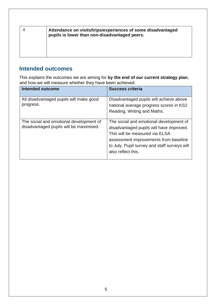| Attendance on visits/trips/experiences of some disadvantaged<br>pupils is lower than non-disadvantaged peers. |
|---------------------------------------------------------------------------------------------------------------|
|                                                                                                               |

#### **Intended outcomes**

This explains the outcomes we are aiming for **by the end of our current strategy plan**, and how we will measure whether they have been achieved.

| <b>Intended outcome</b>                                                            | <b>Success criteria</b>                                                                                                                                                                                                              |
|------------------------------------------------------------------------------------|--------------------------------------------------------------------------------------------------------------------------------------------------------------------------------------------------------------------------------------|
| All disadvantaged pupils will make good<br>progress.                               | Disadvantaged pupils will achieve above<br>national average progress scores in KS2<br>Reading, Writing and Maths.                                                                                                                    |
| The social and emotional development of<br>disadvantaged pupils will be maximised. | The social and emotional development of<br>disadvantaged pupils will have improved.<br>This will be measured via ELSA<br>assessment improvements from baseline<br>to July. Pupil survey and staff surveys will<br>also reflect this. |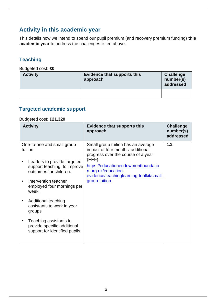#### **Activity in this academic year**

This details how we intend to spend our pupil premium (and recovery premium funding) **this academic year** to address the challenges listed above.

#### **Teaching**

Budgeted cost: **£0**

| <b>Activity</b> | <b>Evidence that supports this</b><br>approach | <b>Challenge</b><br>number(s)<br>addressed |
|-----------------|------------------------------------------------|--------------------------------------------|
|                 |                                                |                                            |

#### **Targeted academic support**

#### Budgeted cost: **£21,320**

| <b>Activity</b>                                                                                                                                                                                | <b>Evidence that supports this</b><br>approach                                                                                                                                                                                                        | <b>Challenge</b><br>number(s)<br>addressed |
|------------------------------------------------------------------------------------------------------------------------------------------------------------------------------------------------|-------------------------------------------------------------------------------------------------------------------------------------------------------------------------------------------------------------------------------------------------------|--------------------------------------------|
| One-to-one and small group<br>tuition:<br>Leaders to provide targeted<br>support teaching, to improve<br>outcomes for children.<br>Intervention teacher<br>employed four mornings per<br>week. | Small group tuition has an average<br>impact of four months' additional<br>progress over the course of a year<br>$(EEF)$ .<br>https://educationendowmentfoundatio<br>n.org.uk/education-<br>evidence/teachinglearning-toolkit/small-<br>group-tuition | 1,3,                                       |
| Additional teaching<br>assistants to work in year<br>groups                                                                                                                                    |                                                                                                                                                                                                                                                       |                                            |
| Teaching assistants to<br>provide specific additional<br>support for identified pupils.                                                                                                        |                                                                                                                                                                                                                                                       |                                            |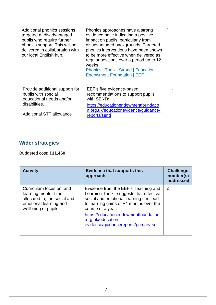| Additional phonics sessions<br>targeted at disadvantaged<br>pupils who require further<br>phonics support. This will be<br>delivered in collaboration with<br>our local English hub. | Phonics approaches have a strong<br>evidence base indicating a positive<br>impact on pupils, particularly from<br>disadvantaged backgrounds. Targeted<br>phonics interventions have been shown<br>to be more effective when delivered as<br>regular sessions over a period up to 12<br>weeks:<br><b>Phonics   Toolkit Strand   Education</b><br><b>Endowment Foundation   EEF</b> | 1    |
|--------------------------------------------------------------------------------------------------------------------------------------------------------------------------------------|-----------------------------------------------------------------------------------------------------------------------------------------------------------------------------------------------------------------------------------------------------------------------------------------------------------------------------------------------------------------------------------|------|
| Provide additional support for<br>pupils with special<br>educational needs and/or<br>disabilities.<br><b>Additional STT allowance</b>                                                | EEF's five evidence-based<br>recommendations to support pupils<br>with SEND:<br>https://educationendowmentfoundatio<br>n.org.uk/educationevidence/guidance-<br>reports/send                                                                                                                                                                                                       | 1, 3 |

### **Wider strategies**

Budgeted cost: **£11,460**

| <b>Activity</b>                                                                                                                   | <b>Evidence that supports this</b><br>approach                                                                                                                                                                                                                                                     | <b>Challenge</b><br>number(s)<br>addressed |
|-----------------------------------------------------------------------------------------------------------------------------------|----------------------------------------------------------------------------------------------------------------------------------------------------------------------------------------------------------------------------------------------------------------------------------------------------|--------------------------------------------|
| Curriculum focus on, and<br>learning mentor time<br>allocated to, the social and<br>emotional learning and<br>wellbeing of pupils | Evidence from the EEF's Teaching and<br>Learning Toolkit suggests that effective<br>social and emotional learning can lead<br>to learning gains of $+4$ months over the<br>course of a year.<br>https://educationendowmentfoundation<br>.org.uk/education-<br>evidence/guidancereports/primary-sel | 2                                          |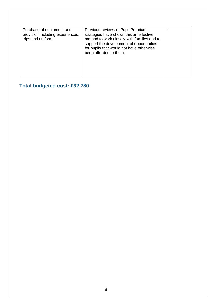| Purchase of equipment and<br>provision including experiences,<br>trips and uniform | Previous reviews of Pupil Premium<br>strategies have shown this an effective<br>method to work closely with families and to<br>support the development of opportunities<br>for pupils that would not have otherwise<br>been afforded to them. | 4 |
|------------------------------------------------------------------------------------|-----------------------------------------------------------------------------------------------------------------------------------------------------------------------------------------------------------------------------------------------|---|
|------------------------------------------------------------------------------------|-----------------------------------------------------------------------------------------------------------------------------------------------------------------------------------------------------------------------------------------------|---|

**Total budgeted cost: £32,780**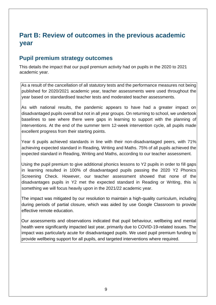## **Part B: Review of outcomes in the previous academic year**

#### **Pupil premium strategy outcomes**

This details the impact that our pupil premium activity had on pupils in the 2020 to 2021 academic year.

As a result of the cancellation of all statutory tests and the performance measures not being published for 2020/2021 academic year, teacher assessments were used throughout the year based on standardised teacher tests and moderated teacher assessments.

As with national results, the pandemic appears to have had a greater impact on disadvantaged pupils overall but not in all year groups. On returning to school, we undertook baselines to see where there were gaps in learning to support with the planning of interventions. At the end of the summer term 12-week intervention cycle, all pupils made excellent progress from their starting points.

Year 6 pupils achieved standards in line with their non-disadvantaged peers, with 71% achieving expected standard in Reading, Writing and Maths. 75% of all pupils achieved the expected standard in Reading, Writing and Maths, according to our teacher assessment.

Using the pupil premium to give additional phonics lessons to Y2 pupils in order to fill gaps in learning resulted in 100% of disadvantaged pupils passing the 2020 Y2 Phonics Screening Check. However, our teacher assessment showed that none of the disadvantages pupils in Y2 met the expected standard in Reading or Writing, this is something we will focus heavily upon in the 2021/22 academic year.

The impact was mitigated by our resolution to maintain a high-quality curriculum, including during periods of partial closure, which was aided by use Google Classroom to provide effective remote education.

Our assessments and observations indicated that pupil behaviour, wellbeing and mental health were significantly impacted last year, primarily due to COVID-19-related issues. The impact was particularly acute for disadvantaged pupils. We used pupil premium funding to provide wellbeing support for all pupils, and targeted interventions where required.